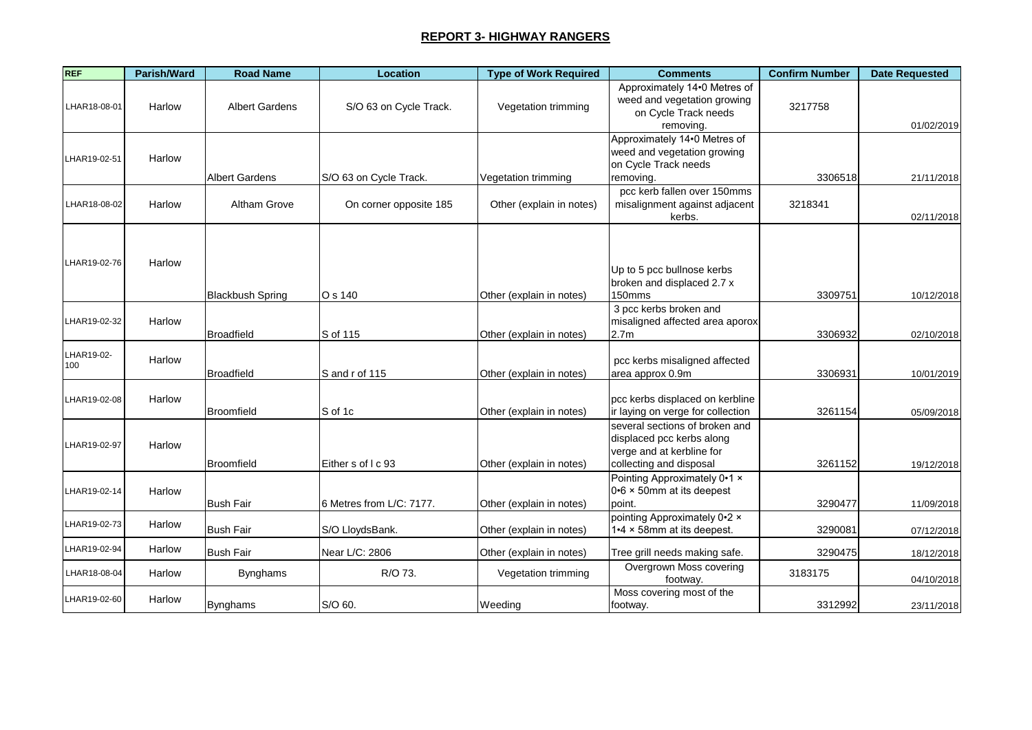| <b>REF</b>   | Parish/Ward | <b>Road Name</b>        | Location                 | <b>Type of Work Required</b> | <b>Comments</b>                                                                     | <b>Confirm Number</b> | <b>Date Requested</b> |
|--------------|-------------|-------------------------|--------------------------|------------------------------|-------------------------------------------------------------------------------------|-----------------------|-----------------------|
| LHAR18-08-01 | Harlow      | <b>Albert Gardens</b>   | S/O 63 on Cycle Track.   | Vegetation trimming          | Approximately 14.0 Metres of<br>weed and vegetation growing<br>on Cycle Track needs | 3217758               |                       |
|              |             |                         |                          |                              | removing.                                                                           |                       | 01/02/2019            |
|              |             |                         |                          |                              | Approximately 14.0 Metres of<br>weed and vegetation growing                         |                       |                       |
| LHAR19-02-51 | Harlow      |                         |                          |                              | on Cycle Track needs                                                                |                       |                       |
|              |             | <b>Albert Gardens</b>   | S/O 63 on Cycle Track.   | Vegetation trimming          | removing.                                                                           | 3306518               | 21/11/2018            |
|              |             |                         |                          |                              | pcc kerb fallen over 150mms                                                         |                       |                       |
| LHAR18-08-02 | Harlow      | Altham Grove            | On corner opposite 185   | Other (explain in notes)     | misalignment against adjacent                                                       | 3218341               |                       |
|              |             |                         |                          |                              | kerbs.                                                                              |                       | 02/11/2018            |
|              |             |                         |                          |                              |                                                                                     |                       |                       |
|              |             |                         |                          |                              |                                                                                     |                       |                       |
| LHAR19-02-76 | Harlow      |                         |                          |                              | Up to 5 pcc bullnose kerbs                                                          |                       |                       |
|              |             |                         |                          |                              | broken and displaced 2.7 x                                                          |                       |                       |
|              |             | <b>Blackbush Spring</b> | O s 140                  | Other (explain in notes)     | 150mms                                                                              | 3309751               | 10/12/2018            |
|              |             |                         |                          |                              | 3 pcc kerbs broken and                                                              |                       |                       |
| LHAR19-02-32 | Harlow      |                         |                          |                              | misaligned affected area aporox                                                     |                       |                       |
|              |             | Broadfield              | S of 115                 | Other (explain in notes)     | 2.7 <sub>m</sub>                                                                    | 3306932               | 02/10/2018            |
| LHAR19-02-   | Harlow      |                         |                          |                              | pcc kerbs misaligned affected                                                       |                       |                       |
| 100          |             | <b>Broadfield</b>       | S and r of 115           | Other (explain in notes)     | area approx 0.9m                                                                    | 3306931               | 10/01/2019            |
|              |             |                         |                          |                              |                                                                                     |                       |                       |
| LHAR19-02-08 | Harlow      |                         |                          |                              | pcc kerbs displaced on kerbline                                                     |                       |                       |
|              |             | <b>Broomfield</b>       | S of 1c                  | Other (explain in notes)     | ir laying on verge for collection                                                   | 3261154               | 05/09/2018            |
|              |             |                         |                          |                              | several sections of broken and                                                      |                       |                       |
| LHAR19-02-97 | Harlow      |                         |                          |                              | displaced pcc kerbs along                                                           |                       |                       |
|              |             | Broomfield              | Either s of I c 93       | Other (explain in notes)     | verge and at kerbline for<br>collecting and disposal                                | 3261152               | 19/12/2018            |
|              |             |                         |                          |                              | Pointing Approximately 0.1 x                                                        |                       |                       |
| LHAR19-02-14 | Harlow      |                         |                          |                              | 0.6 × 50mm at its deepest                                                           |                       |                       |
|              |             | <b>Bush Fair</b>        | 6 Metres from L/C: 7177. | Other (explain in notes)     | point.                                                                              | 3290477               | 11/09/2018            |
| LHAR19-02-73 |             |                         |                          |                              | pointing Approximately 0.2 x                                                        |                       |                       |
|              | Harlow      | <b>Bush Fair</b>        | S/O LloydsBank.          | Other (explain in notes)     | 1.4 x 58mm at its deepest.                                                          | 3290081               | 07/12/2018            |
| LHAR19-02-94 | Harlow      | <b>Bush Fair</b>        | Near L/C: 2806           | Other (explain in notes)     | Tree grill needs making safe.                                                       | 3290475               | 18/12/2018            |
|              |             |                         |                          |                              | Overgrown Moss covering                                                             |                       |                       |
| LHAR18-08-04 | Harlow      | <b>Bynghams</b>         | R/O 73.                  | Vegetation trimming          | footway.                                                                            | 3183175               | 04/10/2018            |
| LHAR19-02-60 | Harlow      |                         |                          |                              | Moss covering most of the                                                           |                       |                       |
|              |             | <b>Bynghams</b>         | S/O 60.                  | Weeding                      | footway.                                                                            | 3312992               | 23/11/2018            |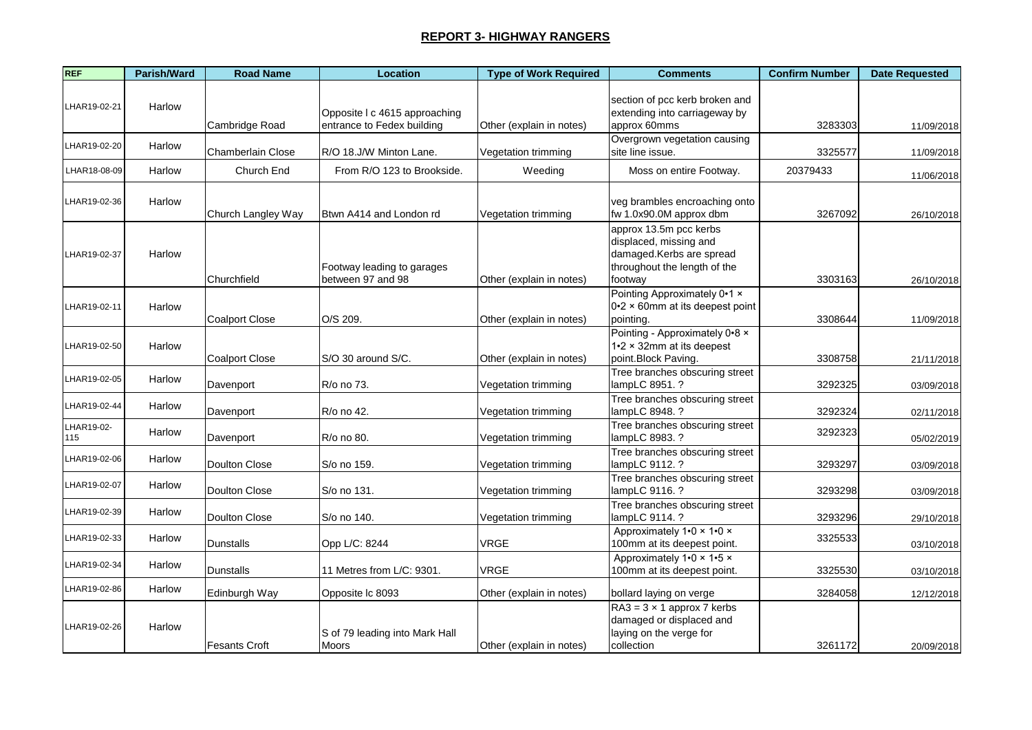| <b>REF</b>        | Parish/Ward | <b>Road Name</b>      | Location                                                    | <b>Type of Work Required</b> | <b>Comments</b>                                                                                                         | <b>Confirm Number</b> | <b>Date Requested</b> |
|-------------------|-------------|-----------------------|-------------------------------------------------------------|------------------------------|-------------------------------------------------------------------------------------------------------------------------|-----------------------|-----------------------|
| LHAR19-02-21      | Harlow      | Cambridge Road        | Opposite I c 4615 approaching<br>entrance to Fedex building | Other (explain in notes)     | section of pcc kerb broken and<br>extending into carriageway by<br>approx 60mms                                         | 3283303               | 11/09/2018            |
| LHAR19-02-20      | Harlow      | Chamberlain Close     | R/O 18.J/W Minton Lane.                                     | Vegetation trimming          | Overgrown vegetation causing<br>site line issue.                                                                        | 3325577               | 11/09/2018            |
| LHAR18-08-09      | Harlow      | Church End            | From R/O 123 to Brookside.                                  | Weeding                      | Moss on entire Footway.                                                                                                 | 20379433              | 11/06/2018            |
| LHAR19-02-36      | Harlow      | Church Langley Way    | Btwn A414 and London rd                                     | Vegetation trimming          | veg brambles encroaching onto<br>fw 1.0x90.0M approx dbm                                                                | 3267092               | 26/10/2018            |
| LHAR19-02-37      | Harlow      | Churchfield           | Footway leading to garages<br>between 97 and 98             | Other (explain in notes)     | approx 13.5m pcc kerbs<br>displaced, missing and<br>damaged.Kerbs are spread<br>throughout the length of the<br>footway | 3303163               | 26/10/2018            |
| LHAR19-02-11      | Harlow      | <b>Coalport Close</b> | O/S 209.                                                    | Other (explain in notes)     | Pointing Approximately 0.1 x<br>$0.2 \times 60$ mm at its deepest point<br>pointing.                                    | 3308644               | 11/09/2018            |
| LHAR19-02-50      | Harlow      | <b>Coalport Close</b> | S/O 30 around S/C.                                          | Other (explain in notes)     | Pointing - Approximately 0.8 x<br>$1.2 \times 32$ mm at its deepest<br>point.Block Paving.                              | 3308758               | 21/11/2018            |
| LHAR19-02-05      | Harlow      | Davenport             | R/o no 73.                                                  | Vegetation trimming          | Tree branches obscuring street<br>lampLC 8951. ?                                                                        | 3292325               | 03/09/2018            |
| LHAR19-02-44      | Harlow      | Davenport             | R/o no 42.                                                  | Vegetation trimming          | Tree branches obscuring street<br>lampLC 8948. ?                                                                        | 3292324               | 02/11/2018            |
| LHAR19-02-<br>115 | Harlow      | Davenport             | R/o no 80.                                                  | Vegetation trimming          | Tree branches obscuring street<br>lampLC 8983. ?                                                                        | 3292323               | 05/02/2019            |
| LHAR19-02-06      | Harlow      | <b>Doulton Close</b>  | S/o no 159.                                                 | Vegetation trimming          | Tree branches obscuring street<br>lampLC 9112. ?                                                                        | 3293297               | 03/09/2018            |
| LHAR19-02-07      | Harlow      | Doulton Close         | S/o no 131.                                                 | Vegetation trimming          | Tree branches obscuring street<br>lampLC 9116. ?                                                                        | 3293298               | 03/09/2018            |
| LHAR19-02-39      | Harlow      | <b>Doulton Close</b>  | S/o no 140.                                                 | Vegetation trimming          | Tree branches obscuring street<br>lampLC 9114. ?                                                                        | 3293296               | 29/10/2018            |
| LHAR19-02-33      | Harlow      | Dunstalls             | Opp L/C: 8244                                               | <b>VRGE</b>                  | Approximately 1.0 x 1.0 x<br>100mm at its deepest point.                                                                | 3325533               | 03/10/2018            |
| LHAR19-02-34      | Harlow      | <b>Dunstalls</b>      | 11 Metres from L/C: 9301.                                   | <b>VRGE</b>                  | Approximately 1.0 x 1.5 x<br>100mm at its deepest point.                                                                | 3325530               | 03/10/2018            |
| LHAR19-02-86      | Harlow      | Edinburgh Way         | Opposite Ic 8093                                            | Other (explain in notes)     | bollard laying on verge                                                                                                 | 3284058               | 12/12/2018            |
| LHAR19-02-26      | Harlow      | <b>Fesants Croft</b>  | S of 79 leading into Mark Hall<br>Moors                     | Other (explain in notes)     | $RA3 = 3 \times 1$ approx 7 kerbs<br>damaged or displaced and<br>laying on the verge for<br>collection                  | 3261172               | 20/09/2018            |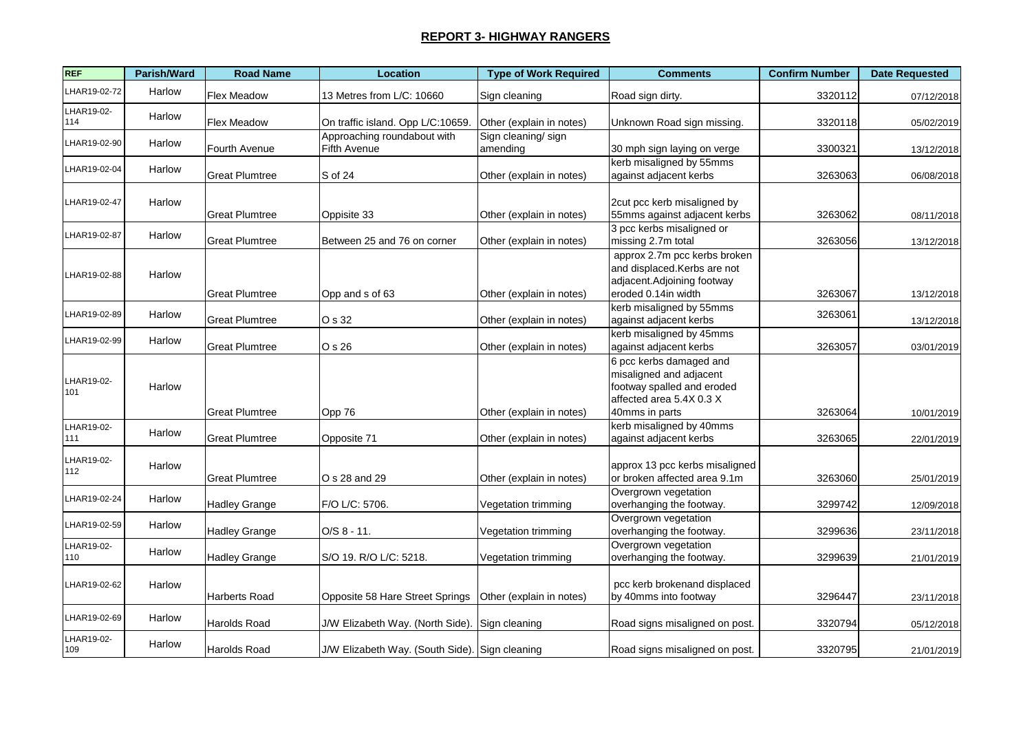| <b>REF</b>        | Parish/Ward | <b>Road Name</b>      | <b>Location</b>                                | <b>Type of Work Required</b>   | <b>Comments</b>                                                                                                                | <b>Confirm Number</b> | <b>Date Requested</b> |
|-------------------|-------------|-----------------------|------------------------------------------------|--------------------------------|--------------------------------------------------------------------------------------------------------------------------------|-----------------------|-----------------------|
| HAR19-02-72       | Harlow      | Flex Meadow           | 13 Metres from L/C: 10660                      | Sign cleaning                  | Road sign dirty.                                                                                                               | 3320112               | 07/12/2018            |
| LHAR19-02-<br>114 | Harlow      | Flex Meadow           | On traffic island. Opp L/C:10659.              | Other (explain in notes)       | Unknown Road sign missing.                                                                                                     | 3320118               | 05/02/2019            |
| LHAR19-02-90      | Harlow      | Fourth Avenue         | Approaching roundabout with<br>Fifth Avenue    | Sign cleaning/sign<br>amending | 30 mph sign laying on verge                                                                                                    | 3300321               | 13/12/2018            |
| HAR19-02-04       | Harlow      | <b>Great Plumtree</b> | S of 24                                        | Other (explain in notes)       | kerb misaligned by 55mms<br>against adjacent kerbs                                                                             | 3263063               | 06/08/2018            |
| LHAR19-02-47      | Harlow      | <b>Great Plumtree</b> | Oppisite 33                                    | Other (explain in notes)       | 2cut pcc kerb misaligned by<br>55mms against adjacent kerbs                                                                    | 3263062               | 08/11/2018            |
| LHAR19-02-87      | Harlow      | <b>Great Plumtree</b> | Between 25 and 76 on corner                    | Other (explain in notes)       | 3 pcc kerbs misaligned or<br>missing 2.7m total                                                                                | 3263056               | 13/12/2018            |
| LHAR19-02-88      | Harlow      | <b>Great Plumtree</b> | Opp and s of 63                                | Other (explain in notes)       | approx 2.7m pcc kerbs broken<br>and displaced.Kerbs are not<br>adjacent.Adjoining footway<br>eroded 0.14in width               | 3263067               | 13/12/2018            |
| LHAR19-02-89      | Harlow      | <b>Great Plumtree</b> | O s 32                                         | Other (explain in notes)       | kerb misaligned by 55mms<br>against adjacent kerbs                                                                             | 3263061               | 13/12/2018            |
| LHAR19-02-99      | Harlow      | <b>Great Plumtree</b> | O s 26                                         | Other (explain in notes)       | kerb misaligned by 45mms<br>against adjacent kerbs                                                                             | 3263057               | 03/01/2019            |
| LHAR19-02-<br>101 | Harlow      | <b>Great Plumtree</b> | Opp 76                                         | Other (explain in notes)       | 6 pcc kerbs damaged and<br>misaligned and adjacent<br>footway spalled and eroded<br>affected area 5.4X 0.3 X<br>40mms in parts | 3263064               | 10/01/2019            |
| LHAR19-02-<br>111 | Harlow      | <b>Great Plumtree</b> | Opposite 71                                    | Other (explain in notes)       | kerb misaligned by 40mms<br>against adjacent kerbs                                                                             | 3263065               | 22/01/2019            |
| LHAR19-02-<br>112 | Harlow      | <b>Great Plumtree</b> | O s 28 and 29                                  | Other (explain in notes)       | approx 13 pcc kerbs misaligned<br>or broken affected area 9.1m                                                                 | 3263060               | 25/01/2019            |
| LHAR19-02-24      | Harlow      | <b>Hadley Grange</b>  | F/O L/C: 5706.                                 | Vegetation trimming            | Overgrown vegetation<br>overhanging the footway.                                                                               | 3299742               | 12/09/2018            |
| HAR19-02-59       | Harlow      | <b>Hadley Grange</b>  | $O/S 8 - 11.$                                  | Vegetation trimming            | Overgrown vegetation<br>overhanging the footway.                                                                               | 3299636               | 23/11/2018            |
| LHAR19-02-<br>110 | Harlow      | <b>Hadley Grange</b>  | S/O 19. R/O L/C: 5218.                         | Vegetation trimming            | Overgrown vegetation<br>overhanging the footway.                                                                               | 3299639               | 21/01/2019            |
| LHAR19-02-62      | Harlow      | Harberts Road         | Opposite 58 Hare Street Springs                | Other (explain in notes)       | pcc kerb brokenand displaced<br>by 40mms into footway                                                                          | 3296447               | 23/11/2018            |
| LHAR19-02-69      | Harlow      | <b>Harolds Road</b>   | J/W Elizabeth Way. (North Side).               | Sign cleaning                  | Road signs misaligned on post.                                                                                                 | 3320794               | 05/12/2018            |
| LHAR19-02-<br>109 | Harlow      | <b>Harolds Road</b>   | J/W Elizabeth Way. (South Side). Sign cleaning |                                | Road signs misaligned on post.                                                                                                 | 3320795               | 21/01/2019            |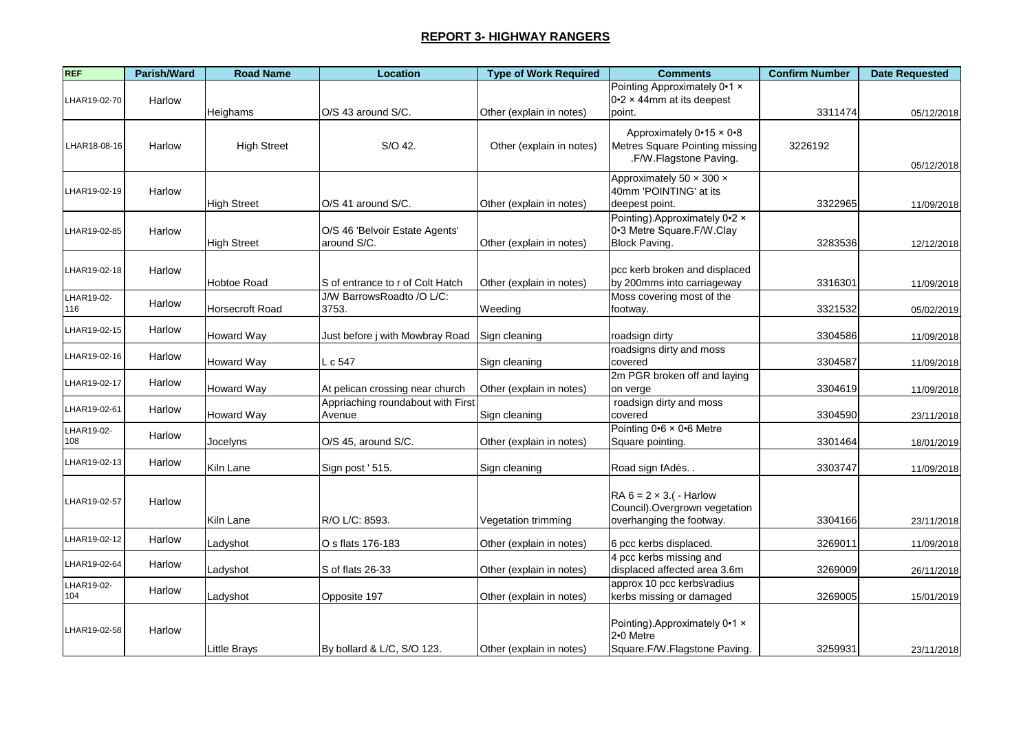| <b>REF</b>        | Parish/Ward | <b>Road Name</b>       | <b>Location</b>                               | <b>Type of Work Required</b> | <b>Comments</b>                                                                                | <b>Confirm Number</b> | <b>Date Requested</b> |
|-------------------|-------------|------------------------|-----------------------------------------------|------------------------------|------------------------------------------------------------------------------------------------|-----------------------|-----------------------|
| LHAR19-02-70      | Harlow      |                        |                                               |                              | Pointing Approximately 0.1 x<br>$0.2 \times 44$ mm at its deepest                              |                       |                       |
|                   |             | Heighams               | O/S 43 around S/C.                            | Other (explain in notes)     | point.                                                                                         | 3311474               | 05/12/2018            |
| LHAR18-08-16      | Harlow      | <b>High Street</b>     | S/O 42.                                       | Other (explain in notes)     | Approximately $0.15 \times 0.8$<br>Metres Square Pointing missing<br>.F/W.Flagstone Paving.    | 3226192               | 05/12/2018            |
| LHAR19-02-19      | Harlow      | <b>High Street</b>     | O/S 41 around S/C.                            | Other (explain in notes)     | Approximately 50 x 300 x<br>40mm 'POINTING' at its<br>deepest point.                           | 3322965               | 11/09/2018            |
| LHAR19-02-85      | Harlow      | <b>High Street</b>     | O/S 46 'Belvoir Estate Agents'<br>around S/C. | Other (explain in notes)     | Pointing).Approximately 0.2 x<br>0-3 Metre Square F/W Clay<br>Block Paving.                    | 3283536               | 12/12/2018            |
| LHAR19-02-18      | Harlow      | <b>Hobtoe Road</b>     | S of entrance to r of Colt Hatch              | Other (explain in notes)     | pcc kerb broken and displaced<br>by 200mms into carriageway                                    | 3316301               | 11/09/2018            |
| LHAR19-02-<br>116 | Harlow      | <b>Horsecroft Road</b> | J/W BarrowsRoadto /O L/C:<br>3753.            | Weeding                      | Moss covering most of the<br>footway.                                                          | 3321532               | 05/02/2019            |
| LHAR19-02-15      | Harlow      | <b>Howard Way</b>      | Just before j with Mowbray Road               | Sign cleaning                | roadsign dirty                                                                                 | 3304586               | 11/09/2018            |
| LHAR19-02-16      | Harlow      | <b>Howard Way</b>      | L c 547                                       | Sign cleaning                | roadsigns dirty and moss<br>covered                                                            | 3304587               | 11/09/2018            |
| LHAR19-02-17      | Harlow      | <b>Howard Way</b>      | At pelican crossing near church               | Other (explain in notes)     | 2m PGR broken off and laying<br>on verge                                                       | 3304619               | 11/09/2018            |
| LHAR19-02-61      | Harlow      | <b>Howard Way</b>      | Appriaching roundabout with First<br>Avenue   | Sign cleaning                | roadsign dirty and moss<br>covered                                                             | 3304590               | 23/11/2018            |
| LHAR19-02-<br>108 | Harlow      | Jocelyns               | O/S 45, around S/C.                           | Other (explain in notes)     | Pointing $0.6 \times 0.6$ Metre<br>Square pointing.                                            | 3301464               | 18/01/2019            |
| LHAR19-02-13      | Harlow      | Kiln Lane              | Sign post '515.                               | Sign cleaning                | Road sign fAdès                                                                                | 3303747               | 11/09/2018            |
| LHAR19-02-57      | Harlow      | Kiln Lane              | R/O L/C: 8593.                                | Vegetation trimming          | RA $6 = 2 \times 3$ . ( - Harlow<br>Council). Overgrown vegetation<br>overhanging the footway. | 3304166               | 23/11/2018            |
| LHAR19-02-12      | Harlow      | Ladyshot               | O s flats 176-183                             | Other (explain in notes)     | 6 pcc kerbs displaced.                                                                         | 3269011               | 11/09/2018            |
| LHAR19-02-64      | Harlow      | Ladyshot               | S of flats 26-33                              | Other (explain in notes)     | 4 pcc kerbs missing and<br>displaced affected area 3.6m                                        | 3269009               | 26/11/2018            |
| LHAR19-02-<br>104 | Harlow      | Ladyshot               | Opposite 197                                  | Other (explain in notes)     | approx 10 pcc kerbs\radius<br>kerbs missing or damaged                                         | 3269005               | 15/01/2019            |
| LHAR19-02-58      | Harlow      | <b>Little Brays</b>    | By bollard & L/C, S/O 123.                    | Other (explain in notes)     | Pointing). Approximately 0.1 x<br>2.0 Metre<br>Square.F/W.Flagstone Paving.                    | 3259931               | 23/11/2018            |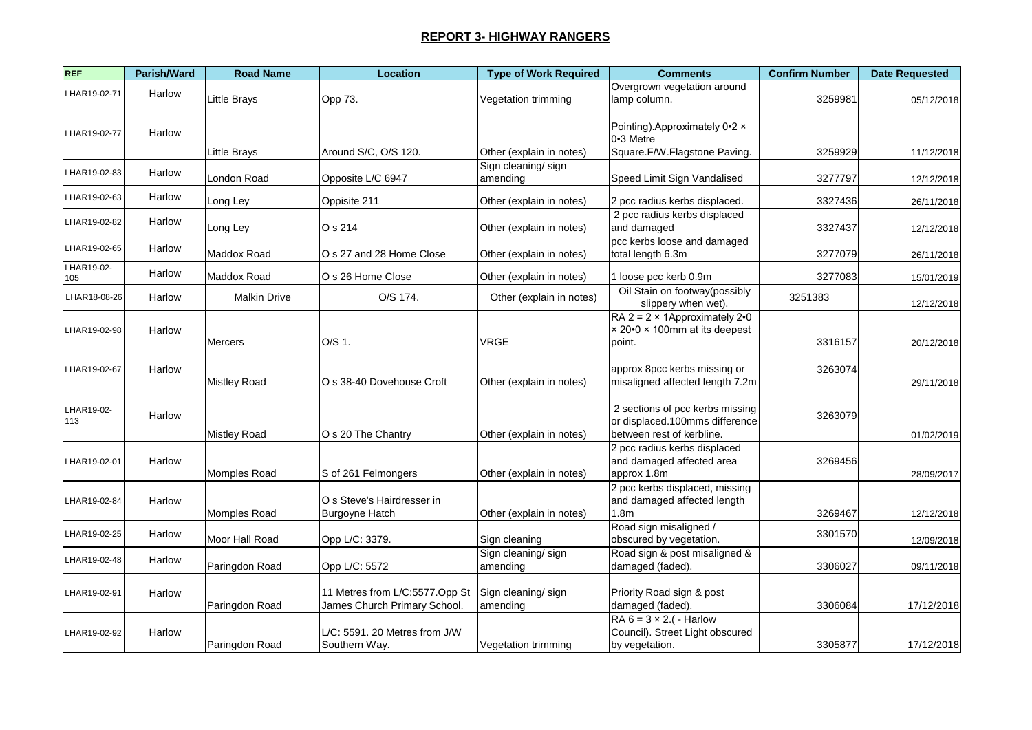| <b>REF</b>        | Parish/Ward | <b>Road Name</b>    | Location                                                       | <b>Type of Work Required</b>   | <b>Comments</b>                                                                                | <b>Confirm Number</b> | <b>Date Requested</b> |
|-------------------|-------------|---------------------|----------------------------------------------------------------|--------------------------------|------------------------------------------------------------------------------------------------|-----------------------|-----------------------|
| LHAR19-02-71      | Harlow      | Little Brays        | Opp 73.                                                        | Vegetation trimming            | Overgrown vegetation around<br>lamp column.                                                    | 3259981               | 05/12/2018            |
| LHAR19-02-77      | Harlow      |                     |                                                                |                                | Pointing).Approximately 0.2 x<br>0-3 Metre                                                     |                       |                       |
|                   |             | Little Brays        | Around S/C, O/S 120.                                           | Other (explain in notes)       | Square.F/W.Flagstone Paving.                                                                   | 3259929               | 11/12/2018            |
| LHAR19-02-83      | Harlow      | London Road         | Opposite L/C 6947                                              | Sign cleaning/sign<br>amending | Speed Limit Sign Vandalised                                                                    | 3277797               | 12/12/2018            |
| HAR19-02-63       | Harlow      | Long Ley            | Oppisite 211                                                   | Other (explain in notes)       | 2 pcc radius kerbs displaced.                                                                  | 3327436               | 26/11/2018            |
| HAR19-02-82       | Harlow      | Long Ley            | O s 214                                                        | Other (explain in notes)       | 2 pcc radius kerbs displaced<br>and damaged                                                    | 3327437               | 12/12/2018            |
| HAR19-02-65       | Harlow      | Maddox Road         | O s 27 and 28 Home Close                                       | Other (explain in notes)       | pcc kerbs loose and damaged<br>total length 6.3m                                               | 3277079               | 26/11/2018            |
| LHAR19-02-<br>105 | Harlow      | Maddox Road         | O s 26 Home Close                                              | Other (explain in notes)       | 1 loose pcc kerb 0.9m                                                                          | 3277083               | 15/01/2019            |
| LHAR18-08-26      | Harlow      | <b>Malkin Drive</b> | O/S 174.                                                       | Other (explain in notes)       | Oil Stain on footway(possibly<br>slippery when wet).                                           | 3251383               | 12/12/2018            |
| LHAR19-02-98      | Harlow      | Mercers             | O/S 1.                                                         | <b>VRGE</b>                    | RA $2 = 2 \times 1$ Approximately 2.0<br>× 20•0 × 100mm at its deepest<br>point.               | 3316157               | 20/12/2018            |
| LHAR19-02-67      | Harlow      | <b>Mistley Road</b> | O s 38-40 Dovehouse Croft                                      | Other (explain in notes)       | approx 8pcc kerbs missing or<br>misaligned affected length 7.2m                                | 3263074               | 29/11/2018            |
| LHAR19-02-<br>113 | Harlow      | <b>Mistley Road</b> | O s 20 The Chantry                                             | Other (explain in notes)       | 2 sections of pcc kerbs missing<br>or displaced.100mms difference<br>between rest of kerbline. | 3263079               | 01/02/2019            |
| LHAR19-02-01      | Harlow      | Momples Road        | S of 261 Felmongers                                            | Other (explain in notes)       | 2 pcc radius kerbs displaced<br>and damaged affected area<br>approx 1.8m                       | 3269456               | 28/09/2017            |
| HAR19-02-84       | Harlow      | Momples Road        | O s Steve's Hairdresser in<br><b>Burgoyne Hatch</b>            | Other (explain in notes)       | 2 pcc kerbs displaced, missing<br>and damaged affected length<br>1.8 <sub>m</sub>              | 3269467               | 12/12/2018            |
| LHAR19-02-25      | Harlow      | Moor Hall Road      | Opp L/C: 3379.                                                 | Sign cleaning                  | Road sign misaligned /<br>obscured by vegetation.                                              | 3301570               | 12/09/2018            |
| HAR19-02-48       | Harlow      | Paringdon Road      | Opp L/C: 5572                                                  | Sign cleaning/sign<br>amending | Road sign & post misaligned &<br>damaged (faded).                                              | 3306027               | 09/11/2018            |
| HAR19-02-91       | Harlow      | Paringdon Road      | 11 Metres from L/C:5577.Opp St<br>James Church Primary School. | Sign cleaning/sign<br>amending | Priority Road sign & post<br>damaged (faded).                                                  | 3306084               | 17/12/2018            |
| LHAR19-02-92      | Harlow      | Paringdon Road      | L/C: 5591. 20 Metres from J/W<br>Southern Way.                 | Vegetation trimming            | RA $6 = 3 \times 2$ . ( - Harlow<br>Council). Street Light obscured<br>by vegetation.          | 3305877               | 17/12/2018            |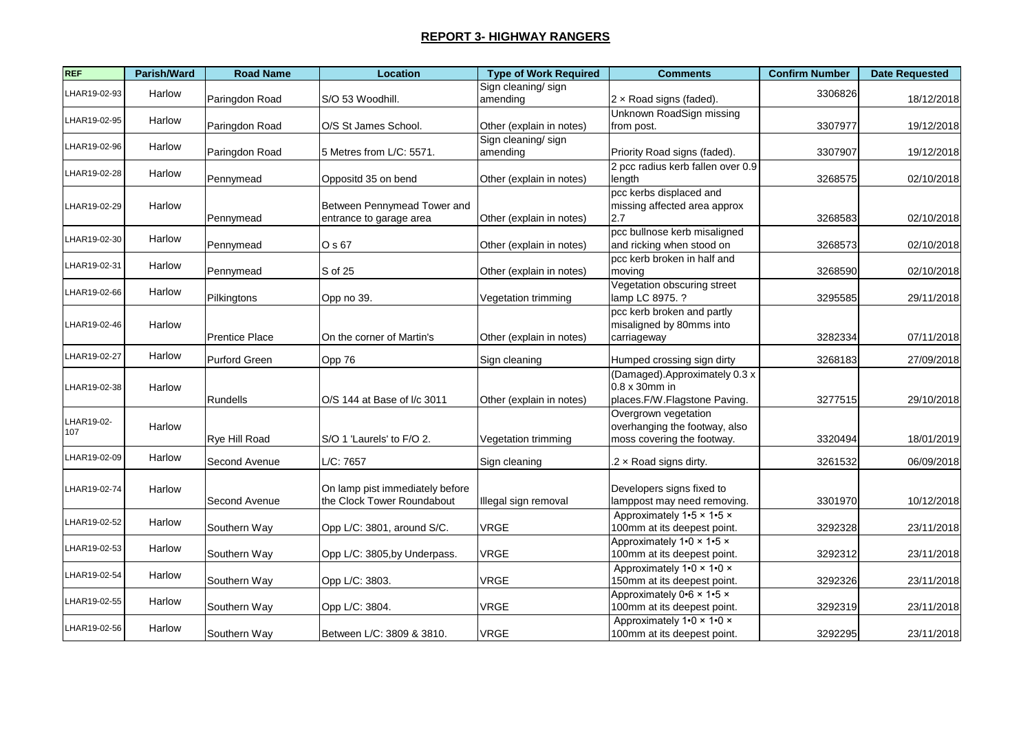| <b>REF</b>        | Parish/Ward | <b>Road Name</b>      | <b>Location</b>                                               | <b>Type of Work Required</b>   | <b>Comments</b>                                                                     | <b>Confirm Number</b> | <b>Date Requested</b> |
|-------------------|-------------|-----------------------|---------------------------------------------------------------|--------------------------------|-------------------------------------------------------------------------------------|-----------------------|-----------------------|
| LHAR19-02-93      | Harlow      | Paringdon Road        | S/O 53 Woodhill.                                              | Sign cleaning/sign<br>amending | 2 x Road signs (faded).                                                             | 3306826               | 18/12/2018            |
| LHAR19-02-95      | Harlow      | Paringdon Road        | O/S St James School.                                          | Other (explain in notes)       | Unknown RoadSign missing<br>from post.                                              | 3307977               | 19/12/2018            |
| LHAR19-02-96      | Harlow      | Paringdon Road        | 5 Metres from L/C: 5571.                                      | Sign cleaning/sign<br>amending | Priority Road signs (faded).                                                        | 3307907               | 19/12/2018            |
| LHAR19-02-28      | Harlow      | Pennymead             | Oppositd 35 on bend                                           | Other (explain in notes)       | 2 pcc radius kerb fallen over 0.9<br>length                                         | 3268575               | 02/10/2018            |
| LHAR19-02-29      | Harlow      | Pennymead             | Between Pennymead Tower and<br>entrance to garage area        | Other (explain in notes)       | pcc kerbs displaced and<br>missing affected area approx<br>2.7                      | 3268583               | 02/10/2018            |
| LHAR19-02-30      | Harlow      | Pennymead             | O s 67                                                        | Other (explain in notes)       | pcc bullnose kerb misaligned<br>and ricking when stood on                           | 3268573               | 02/10/2018            |
| LHAR19-02-31      | Harlow      | Pennymead             | S of 25                                                       | Other (explain in notes)       | pcc kerb broken in half and<br>moving                                               | 3268590               | 02/10/2018            |
| LHAR19-02-66      | Harlow      | Pilkingtons           | Opp no 39.                                                    | Vegetation trimming            | Vegetation obscuring street<br>lamp LC 8975. ?                                      | 3295585               | 29/11/2018            |
| LHAR19-02-46      | Harlow      | <b>Prentice Place</b> | On the corner of Martin's                                     | Other (explain in notes)       | pcc kerb broken and partly<br>misaligned by 80mms into<br>carriageway               | 3282334               | 07/11/2018            |
| LHAR19-02-27      | Harlow      | <b>Purford Green</b>  | Opp 76                                                        | Sign cleaning                  | Humped crossing sign dirty                                                          | 3268183               | 27/09/2018            |
| LHAR19-02-38      | Harlow      | <b>Rundells</b>       | O/S 144 at Base of I/c 3011                                   | Other (explain in notes)       | (Damaged).Approximately 0.3 x<br>0.8 x 30mm in<br>places.F/W.Flagstone Paving.      | 3277515               | 29/10/2018            |
| LHAR19-02-<br>107 | Harlow      | Rye Hill Road         | S/O 1 'Laurels' to F/O 2.                                     | Vegetation trimming            | Overgrown vegetation<br>overhanging the footway, also<br>moss covering the footway. | 3320494               | 18/01/2019            |
| LHAR19-02-09      | Harlow      | Second Avenue         | L/C: 7657                                                     | Sign cleaning                  | $.2 \times$ Road signs dirty.                                                       | 3261532               | 06/09/2018            |
| LHAR19-02-74      | Harlow      | Second Avenue         | On lamp pist immediately before<br>the Clock Tower Roundabout | Illegal sign removal           | Developers signs fixed to<br>lamppost may need removing.                            | 3301970               | 10/12/2018            |
| LHAR19-02-52      | Harlow      | Southern Way          | Opp L/C: 3801, around S/C.                                    | <b>VRGE</b>                    | Approximately 1.5 x 1.5 x<br>100mm at its deepest point.                            | 3292328               | 23/11/2018            |
| LHAR19-02-53      | Harlow      | Southern Way          | Opp L/C: 3805, by Underpass.                                  | <b>VRGE</b>                    | Approximately $1.0 \times 1.5 \times$<br>100mm at its deepest point.                | 3292312               | 23/11/2018            |
| LHAR19-02-54      | Harlow      | Southern Way          | Opp L/C: 3803.                                                | <b>VRGE</b>                    | Approximately 1.0 x 1.0 x<br>150mm at its deepest point.                            | 3292326               | 23/11/2018            |
| LHAR19-02-55      | Harlow      | Southern Way          | Opp L/C: 3804.                                                | <b>VRGE</b>                    | Approximately $0.6 \times 1.5 \times$<br>100mm at its deepest point.                | 3292319               | 23/11/2018            |
| LHAR19-02-56      | Harlow      | Southern Way          | Between L/C: 3809 & 3810.                                     | <b>VRGE</b>                    | Approximately 1.0 x 1.0 x<br>100mm at its deepest point.                            | 3292295               | 23/11/2018            |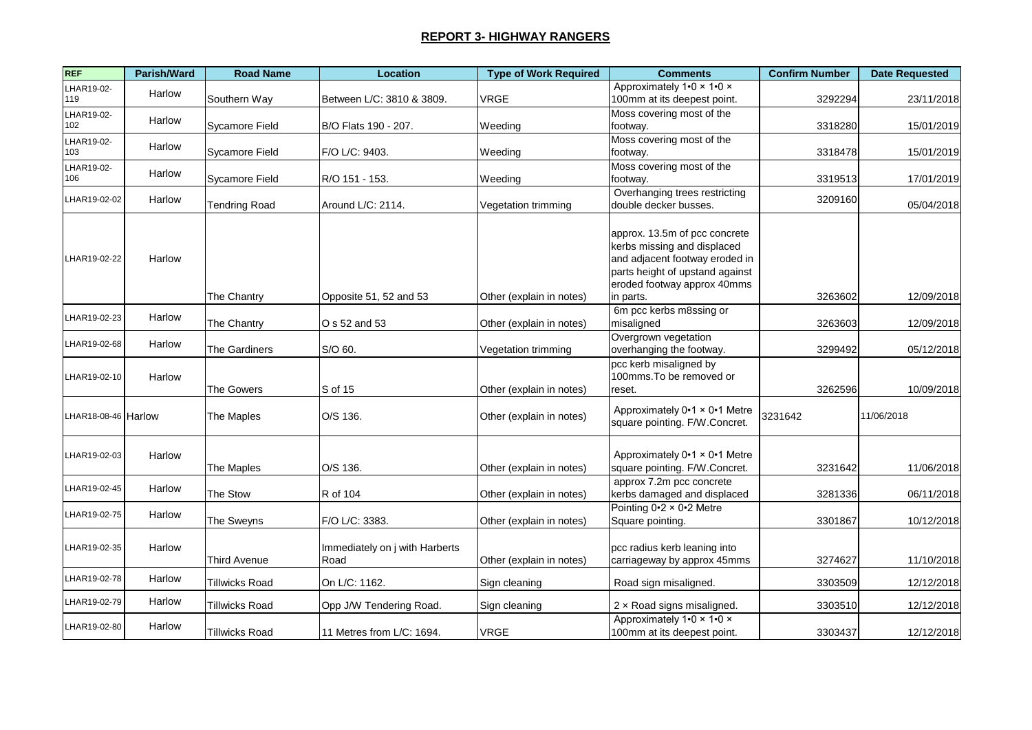| <b>REF</b>          | Parish/Ward | <b>Road Name</b>      | <b>Location</b>                        | <b>Type of Work Required</b> | <b>Comments</b>                                                                                                                                                               | <b>Confirm Number</b> | <b>Date Requested</b> |
|---------------------|-------------|-----------------------|----------------------------------------|------------------------------|-------------------------------------------------------------------------------------------------------------------------------------------------------------------------------|-----------------------|-----------------------|
| LHAR19-02-<br>119   | Harlow      | Southern Way          | Between L/C: 3810 & 3809.              | <b>VRGE</b>                  | Approximately 1.0 x 1.0 x<br>100mm at its deepest point.                                                                                                                      | 3292294               | 23/11/2018            |
| LHAR19-02-<br>102   | Harlow      | <b>Sycamore Field</b> | B/O Flats 190 - 207.                   | Weeding                      | Moss covering most of the<br>footway.                                                                                                                                         | 3318280               | 15/01/2019            |
| LHAR19-02-<br>103   | Harlow      | Sycamore Field        | F/O L/C: 9403.                         | Weeding                      | Moss covering most of the<br>footway.                                                                                                                                         | 3318478               | 15/01/2019            |
| LHAR19-02-<br>106   | Harlow      | Sycamore Field        | R/O 151 - 153.                         | Weeding                      | Moss covering most of the<br>footway.                                                                                                                                         | 3319513               | 17/01/2019            |
| LHAR19-02-02        | Harlow      | <b>Tendring Road</b>  | Around L/C: 2114.                      | Vegetation trimming          | Overhanging trees restricting<br>double decker busses.                                                                                                                        | 3209160               | 05/04/2018            |
| LHAR19-02-22        | Harlow      | The Chantry           | Opposite 51, 52 and 53                 | Other (explain in notes)     | approx. 13.5m of pcc concrete<br>kerbs missing and displaced<br>and adjacent footway eroded in<br>parts height of upstand against<br>eroded footway approx 40mms<br>in parts. | 3263602               | 12/09/2018            |
| LHAR19-02-23        | Harlow      | The Chantry           | O s 52 and 53                          | Other (explain in notes)     | 6m pcc kerbs m8ssing or<br>misaligned                                                                                                                                         | 3263603               | 12/09/2018            |
| LHAR19-02-68        | Harlow      | <b>The Gardiners</b>  | S/O 60.                                | Vegetation trimming          | Overgrown vegetation<br>overhanging the footway.                                                                                                                              | 3299492               | 05/12/2018            |
| LHAR19-02-10        | Harlow      | The Gowers            | S of 15                                | Other (explain in notes)     | pcc kerb misaligned by<br>100mms. To be removed or<br>reset.                                                                                                                  | 3262596               | 10/09/2018            |
| LHAR18-08-46 Harlow |             | The Maples            | O/S 136.                               | Other (explain in notes)     | Approximately 0.1 x 0.1 Metre<br>square pointing. F/W.Concret.                                                                                                                | 3231642               | 11/06/2018            |
| LHAR19-02-03        | Harlow      | The Maples            | O/S 136.                               | Other (explain in notes)     | Approximately 0.1 x 0.1 Metre<br>square pointing. F/W.Concret.                                                                                                                | 3231642               | 11/06/2018            |
| LHAR19-02-45        | Harlow      | The Stow              | R of 104                               | Other (explain in notes)     | approx 7.2m pcc concrete<br>kerbs damaged and displaced                                                                                                                       | 3281336               | 06/11/2018            |
| LHAR19-02-75        | Harlow      | The Sweyns            | F/O L/C: 3383.                         | Other (explain in notes)     | Pointing $0.2 \times 0.2$ Metre<br>Square pointing.                                                                                                                           | 3301867               | 10/12/2018            |
| LHAR19-02-35        | Harlow      | Third Avenue          | Immediately on j with Harberts<br>Road | Other (explain in notes)     | pcc radius kerb leaning into<br>carriageway by approx 45mms                                                                                                                   | 3274627               | 11/10/2018            |
| LHAR19-02-78        | Harlow      | Tillwicks Road        | On L/C: 1162.                          | Sign cleaning                | Road sign misaligned.                                                                                                                                                         | 3303509               | 12/12/2018            |
| LHAR19-02-79        | Harlow      | Tillwicks Road        | Opp J/W Tendering Road.                | Sign cleaning                | 2 x Road signs misaligned.                                                                                                                                                    | 3303510               | 12/12/2018            |
| LHAR19-02-80        | Harlow      | Tillwicks Road        | 11 Metres from L/C: 1694.              | VRGE                         | Approximately 1.0 x 1.0 x<br>100mm at its deepest point.                                                                                                                      | 3303437               | 12/12/2018            |